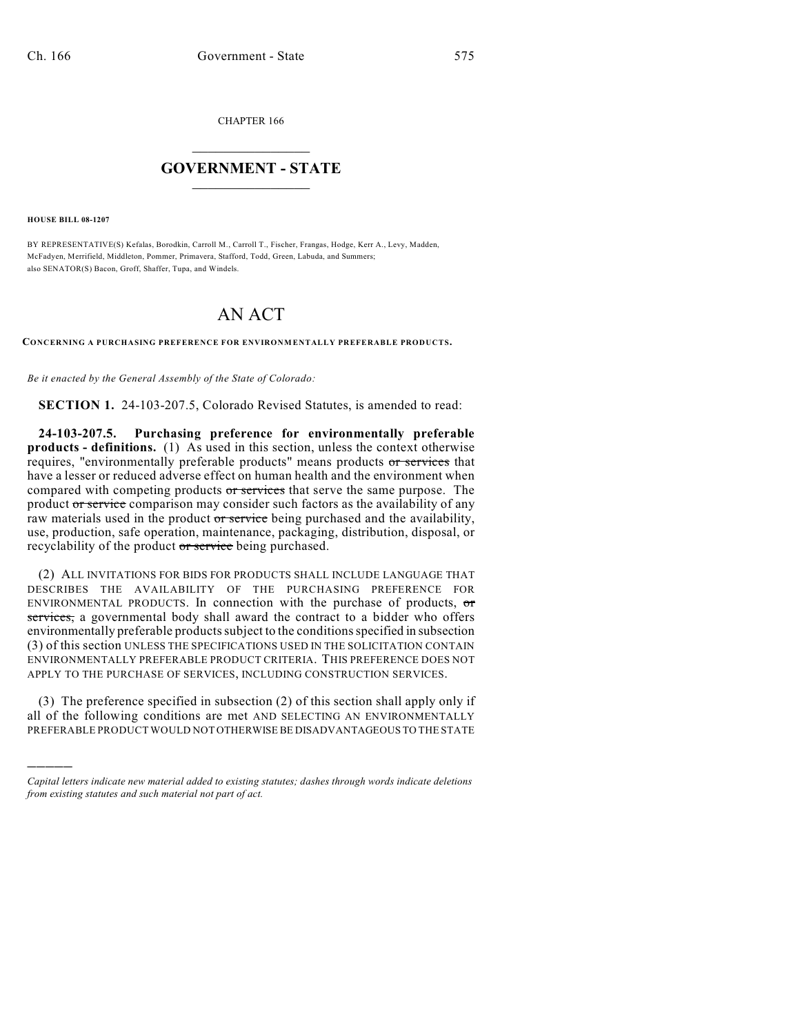CHAPTER 166

## $\mathcal{L}_\text{max}$  . The set of the set of the set of the set of the set of the set of the set of the set of the set of the set of the set of the set of the set of the set of the set of the set of the set of the set of the set **GOVERNMENT - STATE**  $\_$   $\_$   $\_$   $\_$   $\_$   $\_$   $\_$   $\_$   $\_$

**HOUSE BILL 08-1207**

)))))

BY REPRESENTATIVE(S) Kefalas, Borodkin, Carroll M., Carroll T., Fischer, Frangas, Hodge, Kerr A., Levy, Madden, McFadyen, Merrifield, Middleton, Pommer, Primavera, Stafford, Todd, Green, Labuda, and Summers; also SENATOR(S) Bacon, Groff, Shaffer, Tupa, and Windels.

## AN ACT

**CONCERNING A PURCHASING PREFERENCE FOR ENVIRONMENTALLY PREFERABLE PRODUCTS.**

*Be it enacted by the General Assembly of the State of Colorado:*

**SECTION 1.** 24-103-207.5, Colorado Revised Statutes, is amended to read:

**24-103-207.5. Purchasing preference for environmentally preferable products - definitions.** (1) As used in this section, unless the context otherwise requires, "environmentally preferable products" means products or services that have a lesser or reduced adverse effect on human health and the environment when compared with competing products or services that serve the same purpose. The product or service comparison may consider such factors as the availability of any raw materials used in the product or service being purchased and the availability, use, production, safe operation, maintenance, packaging, distribution, disposal, or recyclability of the product or service being purchased.

(2) ALL INVITATIONS FOR BIDS FOR PRODUCTS SHALL INCLUDE LANGUAGE THAT DESCRIBES THE AVAILABILITY OF THE PURCHASING PREFERENCE FOR ENVIRONMENTAL PRODUCTS. In connection with the purchase of products,  $\sigma$ services, a governmental body shall award the contract to a bidder who offers environmentally preferable products subject to the conditions specified in subsection (3) of this section UNLESS THE SPECIFICATIONS USED IN THE SOLICITATION CONTAIN ENVIRONMENTALLY PREFERABLE PRODUCT CRITERIA. THIS PREFERENCE DOES NOT APPLY TO THE PURCHASE OF SERVICES, INCLUDING CONSTRUCTION SERVICES.

(3) The preference specified in subsection (2) of this section shall apply only if all of the following conditions are met AND SELECTING AN ENVIRONMENTALLY PREFERABLE PRODUCT WOULD NOT OTHERWISE BE DISADVANTAGEOUS TO THE STATE

*Capital letters indicate new material added to existing statutes; dashes through words indicate deletions from existing statutes and such material not part of act.*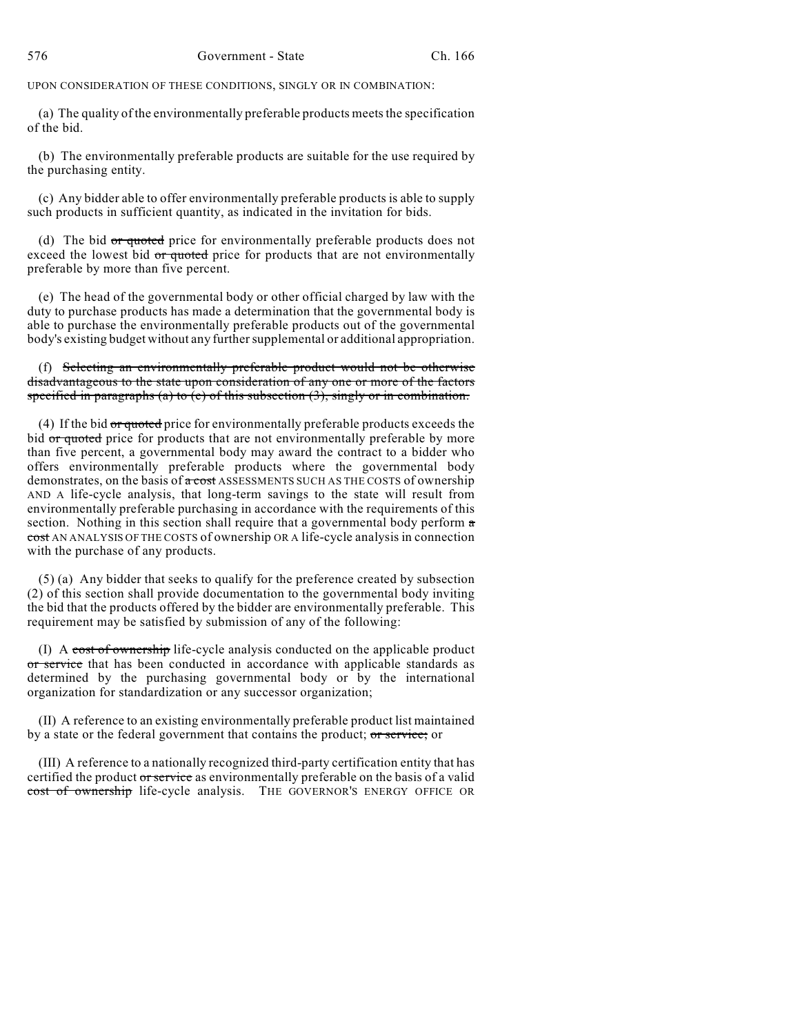UPON CONSIDERATION OF THESE CONDITIONS, SINGLY OR IN COMBINATION:

(a) The quality of the environmentally preferable products meets the specification of the bid.

(b) The environmentally preferable products are suitable for the use required by the purchasing entity.

(c) Any bidder able to offer environmentally preferable products is able to supply such products in sufficient quantity, as indicated in the invitation for bids.

(d) The bid or quoted price for environmentally preferable products does not exceed the lowest bid or quoted price for products that are not environmentally preferable by more than five percent.

(e) The head of the governmental body or other official charged by law with the duty to purchase products has made a determination that the governmental body is able to purchase the environmentally preferable products out of the governmental body's existing budget without any further supplemental or additional appropriation.

(f) Selecting an environmentally preferable product would not be otherwise disadvantageous to the state upon consideration of any one or more of the factors specified in paragraphs (a) to  $(e)$  of this subsection  $(3)$ , singly or in combination.

(4) If the bid or quoted price for environmentally preferable products exceeds the bid or quoted price for products that are not environmentally preferable by more than five percent, a governmental body may award the contract to a bidder who offers environmentally preferable products where the governmental body demonstrates, on the basis of a cost ASSESSMENTS SUCH AS THE COSTS of ownership AND A life-cycle analysis, that long-term savings to the state will result from environmentally preferable purchasing in accordance with the requirements of this section. Nothing in this section shall require that a governmental body perform a cost AN ANALYSIS OF THE COSTS of ownership OR A life-cycle analysis in connection with the purchase of any products.

(5) (a) Any bidder that seeks to qualify for the preference created by subsection (2) of this section shall provide documentation to the governmental body inviting the bid that the products offered by the bidder are environmentally preferable. This requirement may be satisfied by submission of any of the following:

(I) A cost of ownership life-cycle analysis conducted on the applicable product or service that has been conducted in accordance with applicable standards as determined by the purchasing governmental body or by the international organization for standardization or any successor organization;

(II) A reference to an existing environmentally preferable product list maintained by a state or the federal government that contains the product; or service; or

(III) A reference to a nationally recognized third-party certification entity that has certified the product or service as environmentally preferable on the basis of a valid cost of ownership life-cycle analysis. THE GOVERNOR'S ENERGY OFFICE OR